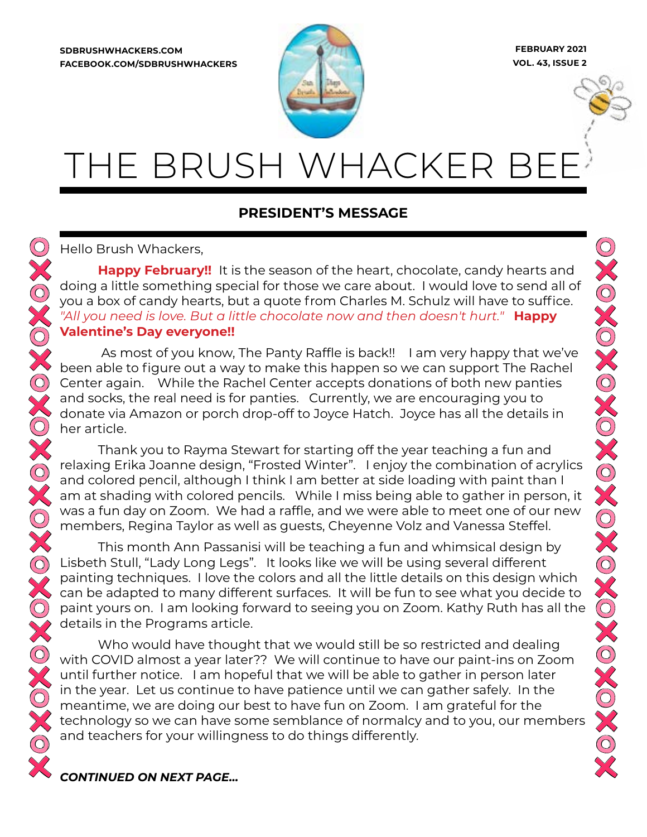**SDBRUSHWHACKERS.COM FACEBOOK.COM/SDBRUSHWHACKERS**



**FEBRUARY 2021 VOL. 43, ISSUE 2**

XOXOXOXOXOXO

# THE BRUSH WHACKER B

#### **PRESIDENT'S MESSAGE**

Hello Brush Whackers,

**Happy February!!** It is the season of the heart, chocolate, candy hearts and doing a little something special for those we care about. I would love to send all of you a box of candy hearts, but a quote from Charles M. Schulz will have to suffice. *"All you need is love. But a little chocolate now and then doesn't hurt."* **Happy Valentine's Day everyone!!**

 As most of you know, The Panty Raffle is back!! I am very happy that we've been able to figure out a way to make this happen so we can support The Rachel Center again. While the Rachel Center accepts donations of both new panties and socks, the real need is for panties. Currently, we are encouraging you to donate via Amazon or porch drop-off to Joyce Hatch. Joyce has all the details in her article.

Thank you to Rayma Stewart for starting off the year teaching a fun and relaxing Erika Joanne design, "Frosted Winter". I enjoy the combination of acrylics and colored pencil, although I think I am better at side loading with paint than I am at shading with colored pencils. While I miss being able to gather in person, it was a fun day on Zoom. We had a raffle, and we were able to meet one of our new members, Regina Taylor as well as guests, Cheyenne Volz and Vanessa Steffel.

This month Ann Passanisi will be teaching a fun and whimsical design by Lisbeth Stull, "Lady Long Legs". It looks like we will be using several different painting techniques. I love the colors and all the little details on this design which can be adapted to many different surfaces. It will be fun to see what you decide to paint yours on. I am looking forward to seeing you on Zoom. Kathy Ruth has all the details in the Programs article.

Who would have thought that we would still be so restricted and dealing with COVID almost a year later?? We will continue to have our paint-ins on Zoom until further notice. I am hopeful that we will be able to gather in person later in the year. Let us continue to have patience until we can gather safely. In the meantime, we are doing our best to have fun on Zoom. I am grateful for the technology so we can have some semblance of normalcy and to you, our members and teachers for your willingness to do things differently.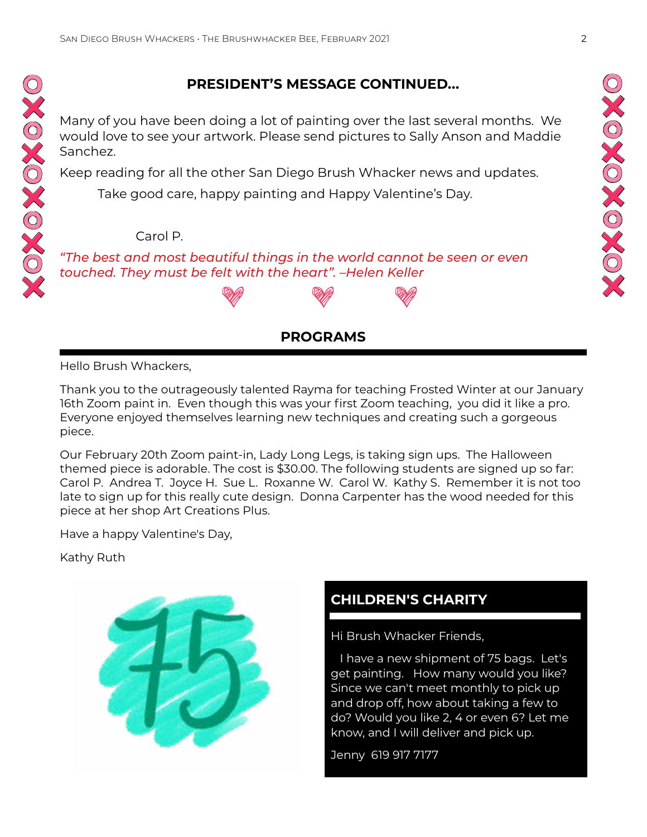#### **PRESIDENT'S MESSAGE CONTINUED...**

Many of you have been doing a lot of painting over the last several months. We would love to see your artwork. Please send pictures to Sally Anson and Maddie Sanchez.

Keep reading for all the other San Diego Brush Whacker news and updates.

Take good care, happy painting and Happy Valentine's Day.

#### Carol P.

*"The best and most beautiful things in the world cannot be seen or even touched. They must be felt with the heart". –Helen Keller*

#### **PROGRAMS**

Hello Brush Whackers,

OXOXOXOXO

Thank you to the outrageously talented Rayma for teaching Frosted Winter at our January 16th Zoom paint in. Even though this was your first Zoom teaching, you did it like a pro. Everyone enjoyed themselves learning new techniques and creating such a gorgeous piece.

Our February 20th Zoom paint-in, Lady Long Legs, is taking sign ups. The Halloween themed piece is adorable. The cost is \$30.00. The following students are signed up so far: Carol P. Andrea T. Joyce H. Sue L. Roxanne W. Carol W. Kathy S. Remember it is not too late to sign up for this really cute design. Donna Carpenter has the wood needed for this piece at her shop Art Creations Plus.

Have a happy Valentine's Day,

Kathy Ruth



#### **CHILDREN'S CHARITY**

Hi Brush Whacker Friends,

 I have a new shipment of 75 bags. Let's get painting. How many would you like? Since we can't meet monthly to pick up and drop off, how about taking a few to do? Would you like 2, 4 or even 6? Let me know, and I will deliver and pick up.

Jenny 619 917 7177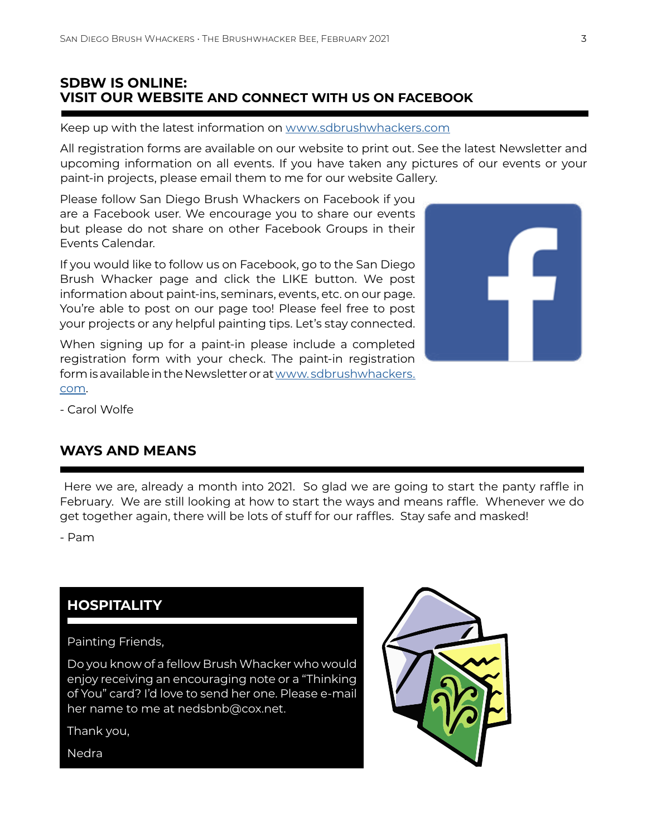#### **SDBW IS ONLINE: VISIT OUR WEBSITE AND CONNECT WITH US ON FACEBOOK**

Keep up with the latest information on [www.sdbrushwhackers.com](http://www.sdbrushwhackers.com)

All registration forms are available on our website to print out. See the latest Newsletter and upcoming information on all events. If you have taken any pictures of our events or your paint-in projects, please email them to me for our website Gallery.

Please follow San Diego Brush Whackers on Facebook if you are a Facebook user. We encourage you to share our events but please do not share on other Facebook Groups in their Events Calendar.

If you would like to follow us on Facebook, go to the San Diego Brush Whacker page and click the LIKE button. We post information about paint-ins, seminars, events, etc. on our page. You're able to post on our page too! Please feel free to post your projects or any helpful painting tips. Let's stay connected.

When signing up for a paint-in please include a completed registration form with your check. The paint-in registration form is available in the Newsletter or at [www. sdbrushwhackers.](http://www. sdbrushwhackers.com) [com](http://www. sdbrushwhackers.com).



- Carol Wolfe

#### **WAYS AND MEANS**

 Here we are, already a month into 2021. So glad we are going to start the panty raffle in February. We are still looking at how to start the ways and means raffle. Whenever we do get together again, there will be lots of stuff for our raffles. Stay safe and masked!

- Pam

#### **HOSPITALITY**

Painting Friends,

Do you know of a fellow Brush Whacker who would enjoy receiving an encouraging note or a "Thinking of You" card? I'd love to send her one. Please e-mail her name to me at nedsbnb@cox.net.

Thank you,



Nedra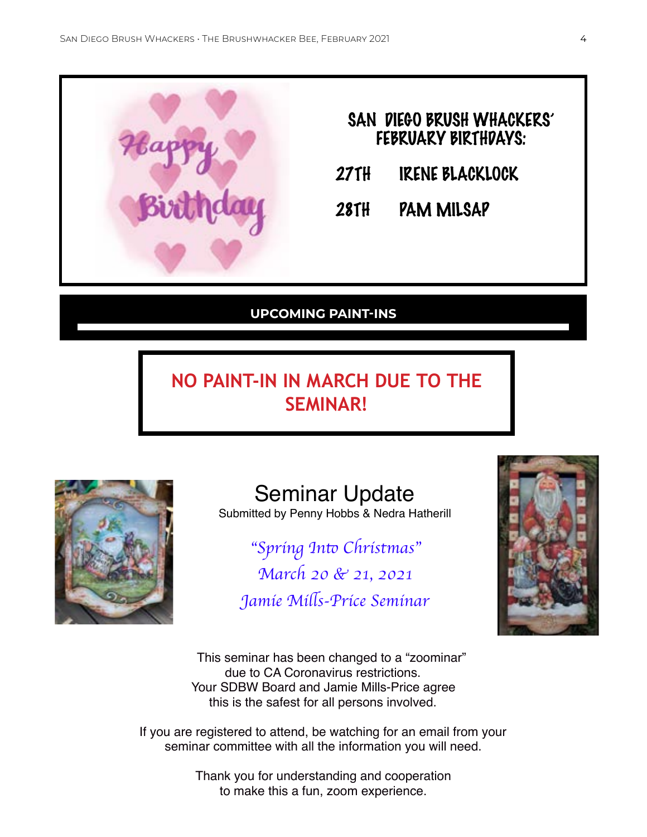

|       | SAN DIEGO BRUSH WHACKERS'<br><b>FEBRUARY BIRTHDAYS:</b> |
|-------|---------------------------------------------------------|
| 27 TH | <b>IRENE BLACKLOCK</b>                                  |

28TH PAM MILSAP

#### **UPCOMING PAINT-INS**

# **NO PAINT-IN IN MARCH DUE TO THE SEMINAR!**



Seminar Update

Submitted by Penny Hobbs & Nedra Hatherill

"*Spring In*to *Christmas*" *March 20 & 21, 2021 Jamie Mi*ll*s-Price Seminar*



 This seminar has been changed to a "zoominar" due to CA Coronavirus restrictions. Your SDBW Board and Jamie Mills-Price agree this is the safest for all persons involved.

If you are registered to attend, be watching for an email from your seminar committee with all the information you will need.

> Thank you for understanding and cooperation to make this a fun, zoom experience.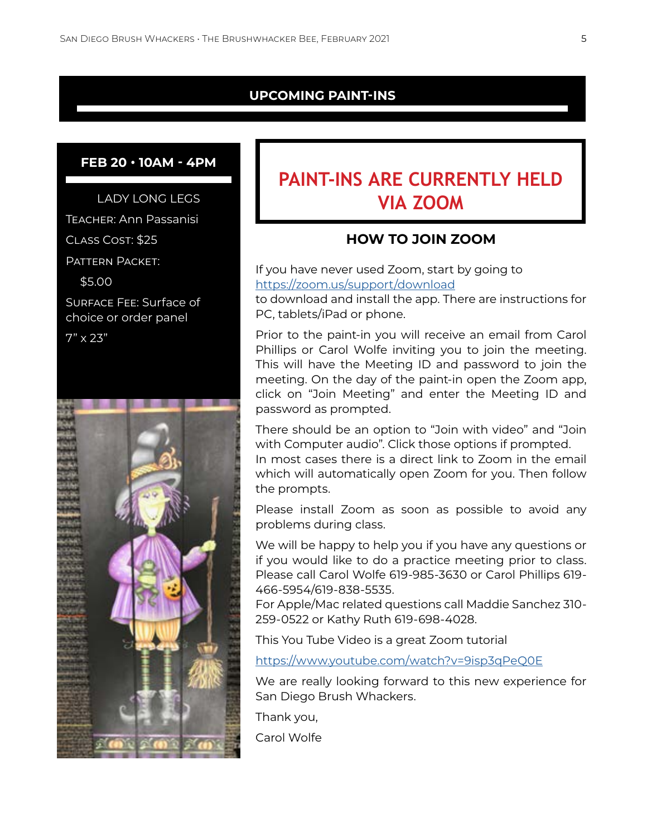#### **UPCOMING PAINT-INS**

#### **FEB 20 • 10AM - 4PM**

LADY LONG LEGS

Teacher: Ann Passanisi

Class Cost: \$25

Pattern Packet:

\$5.00

Surface Fee: Surface of choice or order panel

 $7" \times 23"$ 



# **PAINT-INS ARE CURRENTLY HELD VIA ZOOM**

#### **HOW TO JOIN ZOOM**

If you have never used Zoom, start by going to <https://zoom.us/support/download>

to download and install the app. There are instructions for PC, tablets/iPad or phone.

Prior to the paint-in you will receive an email from Carol Phillips or Carol Wolfe inviting you to join the meeting. This will have the Meeting ID and password to join the meeting. On the day of the paint-in open the Zoom app, click on "Join Meeting" and enter the Meeting ID and password as prompted.

There should be an option to "Join with video" and "Join with Computer audio". Click those options if prompted.

In most cases there is a direct link to Zoom in the email which will automatically open Zoom for you. Then follow the prompts.

Please install Zoom as soon as possible to avoid any problems during class.

We will be happy to help you if you have any questions or if you would like to do a practice meeting prior to class. Please call Carol Wolfe 619-985-3630 or Carol Phillips 619- 466-5954/619-838-5535.

For Apple/Mac related questions call Maddie Sanchez 310- 259-0522 or Kathy Ruth 619-698-4028.

This You Tube Video is a great Zoom tutorial

<https://www.youtube.com/watch?v=9isp3qPeQ0E>

We are really looking forward to this new experience for San Diego Brush Whackers.

Thank you,

Carol Wolfe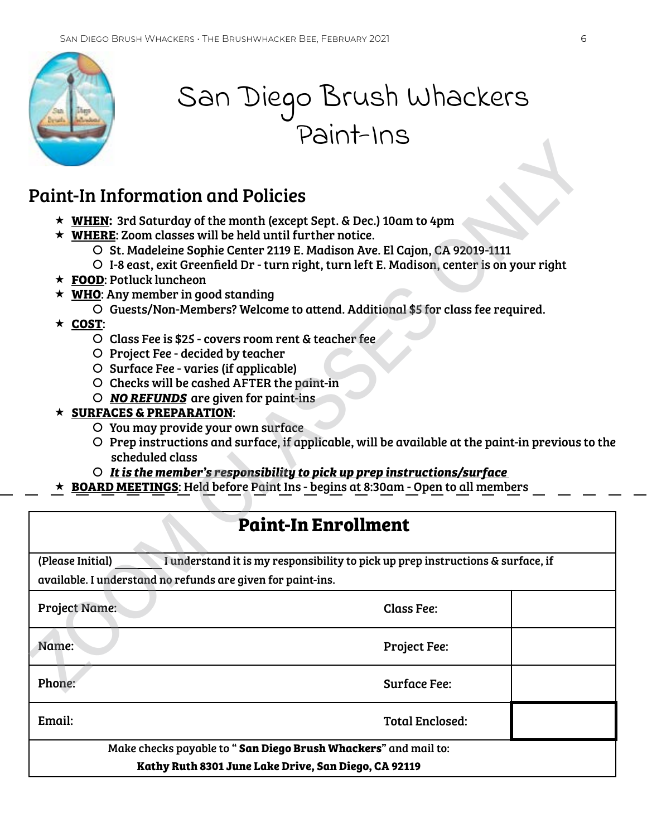

# San Diego Brush Whackers Paint-Ins

### Paint-In Information and Policies

- **WHEN:** 3rd Saturday of the month (except Sept. & Dec.) 10am to 4pm
- **WHERE**: Zoom classes will be held until further notice.
	- | St. Madeleine Sophie Center 2119 E. Madison Ave. El Cajon, CA 92019-1111
	- | I-8 east, exit Greenfield Dr turn right, turn left E. Madison, center is on your right
- **FOOD**: Potluck luncheon
- **WHO**: Any member in good standing
	- | Guests/Non-Members? Welcome to attend. Additional \$5 for class fee required.
- **COST**:
	- | Class Fee is \$25 covers room rent & teacher fee
	- O Project Fee decided by teacher
	- | Surface Fee varies (if applicable)
	- O Checks will be cashed AFTER the paint-in
	- | *NO REFUNDS* are given for paint-ins

#### **SURFACES & PREPARATION**:

- | You may provide your own surface
- $O$  Prep instructions and surface, if applicable, will be available at the paint-in previous to the scheduled class Paint-In Information and Policies<br>
\* WHEN: 3rd Saturday of the month (except Sept. 8 Dec.) 10am to 4pm<br>
\* WHEN: 3rd Saturday of the month (except Sept. 8 Dec.) 10am to 4pm<br>  $\sim$  NHEN: Ard Saturday of the month (except Sep

Class Fee:

Project Fee:

Surface Fee:

Total Enclosed:

- | *It is the member's responsibility to pick up prep instructions/surface*
- **BOARD MEETINGS**: Held before Paint Ins begins at 8:30am Open to all members

(Please Initial) I understand it is my responsibility to pick up prep instructions & surface, if

available. I understand no refunds are given for paint-ins.

Project Name:

Name:

Phone:

Email:

Make checks payable to " **San Diego Brush Whackers**" and mail to:

**Kathy Ruth 8301 June Lake Drive, San Diego, CA 92119**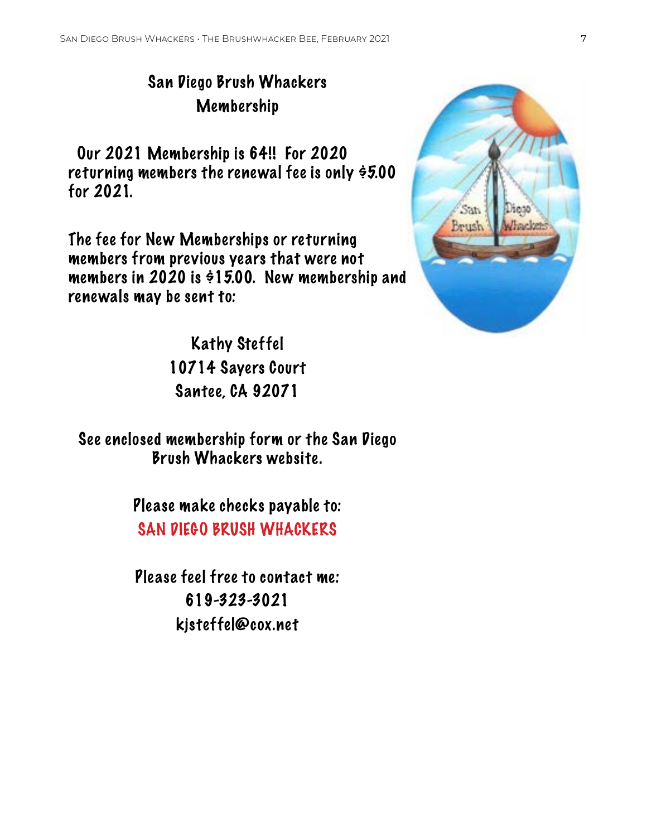## San Diego Brush Whackers Membership

 Our 2021 Membership is 64!! For 2020 returning members the renewal fee is only  $\dot{\theta}5.00$ for 2021.

The fee for New Memberships or returning members from previous years that were not members in 2020 is \$15.00. New membership and renewals may be sent to:

> Kathy Steffel 10714 Sayers Court Santee, CA 92071

See enclosed membership form or the San Diego Brush Whackers website.

> Please make checks payable to: SAN DIEGO BRUSH WHACKERS

Please feel free to contact me: 619-323-3021 kjsteffel@cox.net

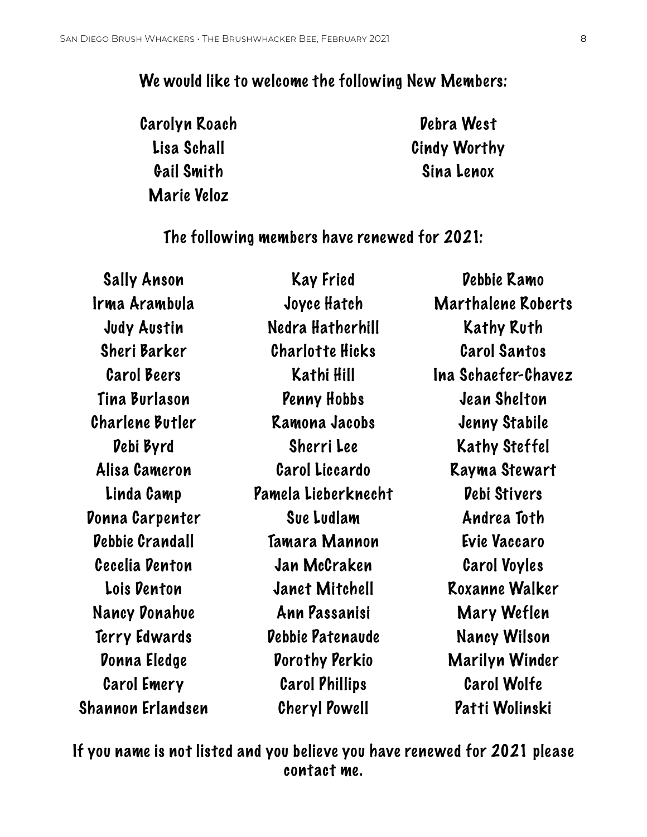#### We would like to welcome the following New Members:

Carolyn Roach Lisa Schall Gail Smith Marie Veloz

Debra West Cindy Worthy Sina Lenox

The following members have renewed for 2021:

| Sally Anson            | Kay Fried              | Debbie Ramo               |
|------------------------|------------------------|---------------------------|
| Irma Arambula          | Joyce Hatch            | <b>Marthalene Roberts</b> |
| <b>Judy Austin</b>     | Nedra Hatherhill       | Kathy Ruth                |
| Sheri Barker           | <b>Charlotte Hicks</b> | <b>Carol Santos</b>       |
| <b>Carol Beers</b>     | Kathi Hill             | Ina Schaefer-Chavez       |
| Tina Burlason          | Penny Hobbs            | Jean Shelton              |
| Charlene Butler        | Ramona Jacobs          | Jenny Stabile             |
| Debi Byrd              | Sherri Lee             | Kathy Steffel             |
| Alisa Cameron          | <b>Carol Liccardo</b>  | Rayma Stewart             |
| Linda Camp             | Pamela Lieberknecht    | <b>Debi Stivers</b>       |
| Donna Carpenter        | Sue Ludlam             | Andrea Toth               |
| <b>Debbie Crandall</b> | Tamara Mannon          | Evie Vaccaro              |
| Cecelia Denton         | Jan McCraken           | <b>Carol Voyles</b>       |
| Lois Denton            | Janet Mitchell         | Roxanne Walker            |
| Nancy Donahue          | Ann Passanisi          | Mary Weflen               |
| Terry Edwards          | Debbie Patenaude       | Nancy Wilson              |
| Donna Eledge           | <b>Dorothy Perkio</b>  | Marilyn Winder            |
| <b>Carol Emery</b>     | <b>Carol Phillips</b>  | <b>Carol Wolfe</b>        |
| Shannon Erlandsen      | Cheryl Powell          | Patti Wolinski            |
|                        |                        |                           |

If you name is not listed and you believe you have renewed for 2021 please contact me.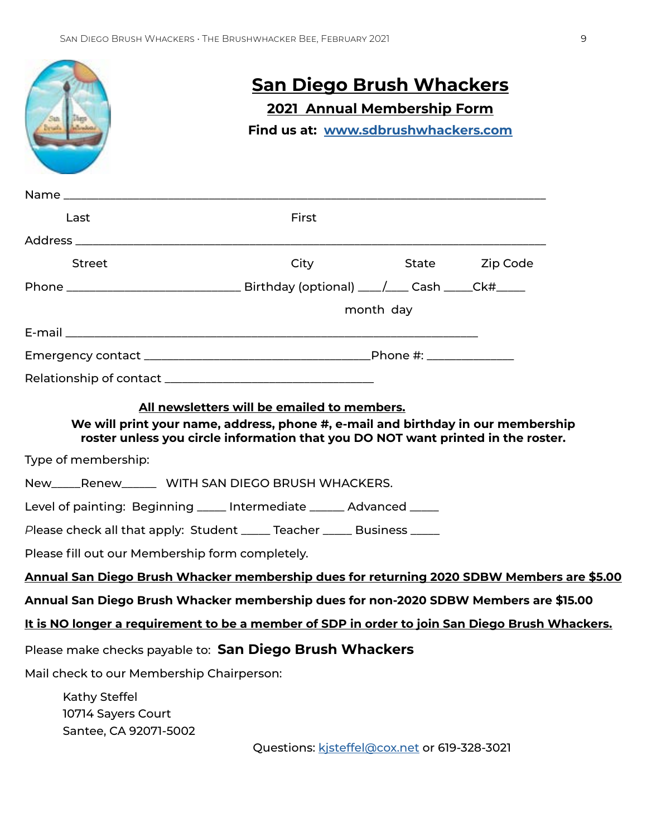|                                                                                                | <u>San Diego Brush Whackers</u><br><b>2021 Annual Membership Form</b>                                                                                                                                               |           |                |  |  |
|------------------------------------------------------------------------------------------------|---------------------------------------------------------------------------------------------------------------------------------------------------------------------------------------------------------------------|-----------|----------------|--|--|
|                                                                                                |                                                                                                                                                                                                                     |           |                |  |  |
|                                                                                                | Find us at: www.sdbrushwhackers.com                                                                                                                                                                                 |           |                |  |  |
|                                                                                                |                                                                                                                                                                                                                     |           |                |  |  |
| Last                                                                                           | First                                                                                                                                                                                                               |           |                |  |  |
|                                                                                                |                                                                                                                                                                                                                     |           |                |  |  |
| <b>Street</b>                                                                                  | City                                                                                                                                                                                                                |           | State Zip Code |  |  |
|                                                                                                |                                                                                                                                                                                                                     |           |                |  |  |
|                                                                                                |                                                                                                                                                                                                                     | month day |                |  |  |
|                                                                                                |                                                                                                                                                                                                                     |           |                |  |  |
|                                                                                                |                                                                                                                                                                                                                     |           |                |  |  |
|                                                                                                |                                                                                                                                                                                                                     |           |                |  |  |
|                                                                                                | All newsletters will be emailed to members.<br>We will print your name, address, phone #, e-mail and birthday in our membership<br>roster unless you circle information that you DO NOT want printed in the roster. |           |                |  |  |
| Type of membership:                                                                            |                                                                                                                                                                                                                     |           |                |  |  |
| New_____Renew_______ WITH SAN DIEGO BRUSH WHACKERS.                                            |                                                                                                                                                                                                                     |           |                |  |  |
| Level of painting: Beginning _____ Intermediate ______ Advanced _____                          |                                                                                                                                                                                                                     |           |                |  |  |
| Please check all that apply: Student _____ Teacher _____ Business ____                         |                                                                                                                                                                                                                     |           |                |  |  |
| Please fill out our Membership form completely.                                                |                                                                                                                                                                                                                     |           |                |  |  |
| Annual San Diego Brush Whacker membership dues for returning 2020 SDBW Members are \$5.00      |                                                                                                                                                                                                                     |           |                |  |  |
| Annual San Diego Brush Whacker membership dues for non-2020 SDBW Members are \$15.00           |                                                                                                                                                                                                                     |           |                |  |  |
| It is NO longer a requirement to be a member of SDP in order to join San Diego Brush Whackers. |                                                                                                                                                                                                                     |           |                |  |  |
| Please make checks payable to: San Diego Brush Whackers                                        |                                                                                                                                                                                                                     |           |                |  |  |
| Mail check to our Membership Chairperson:                                                      |                                                                                                                                                                                                                     |           |                |  |  |
| Kathy Steffel<br>10714 Sayers Court                                                            |                                                                                                                                                                                                                     |           |                |  |  |
| Santee, CA 92071-5002                                                                          | Questions: kisteffel@cox.net or 619-328-3021                                                                                                                                                                        |           |                |  |  |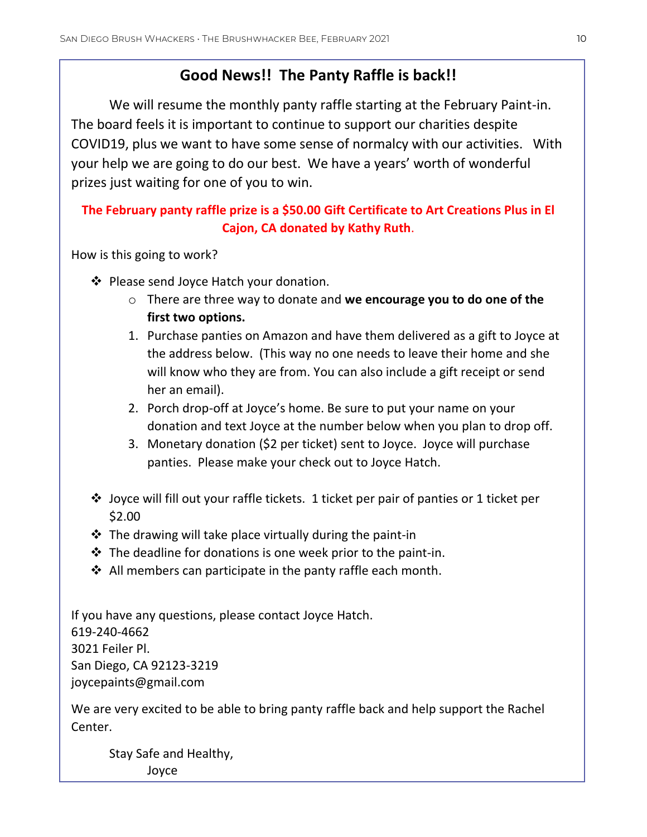#### **Good News!! The Panty Raffle is back!!**

We will resume the monthly panty raffle starting at the February Paint-in. The board feels it is important to continue to support our charities despite COVID19, plus we want to have some sense of normalcy with our activities. With your help we are going to do our best. We have a years' worth of wonderful prizes just waiting for one of you to win.

#### **The February panty raffle prize is a \$50.00 Gift Certificate to Art Creations Plus in El Cajon, CA donated by Kathy Ruth**.

How is this going to work?

- ❖ Please send Joyce Hatch your donation.
	- o There are three way to donate and **we encourage you to do one of the first two options.**
	- 1. Purchase panties on Amazon and have them delivered as a gift to Joyce at the address below. (This way no one needs to leave their home and she will know who they are from. You can also include a gift receipt or send her an email).
	- 2. Porch drop-off at Joyce's home. Be sure to put your name on your donation and text Joyce at the number below when you plan to drop off.
	- 3. Monetary donation (\$2 per ticket) sent to Joyce. Joyce will purchase panties. Please make your check out to Joyce Hatch.
- ❖ Joyce will fill out your raffle tickets. 1 ticket per pair of panties or 1 ticket per \$2.00
- $\triangle$  The drawing will take place virtually during the paint-in
- $\cdot$  The deadline for donations is one week prior to the paint-in.
- ❖ All members can participate in the panty raffle each month.

If you have any questions, please contact Joyce Hatch. 619-240-4662 3021 Feiler Pl. San Diego, CA 92123-3219 joycepaints@gmail.com

We are very excited to be able to bring panty raffle back and help support the Rachel Center.

Stay Safe and Healthy, Joyce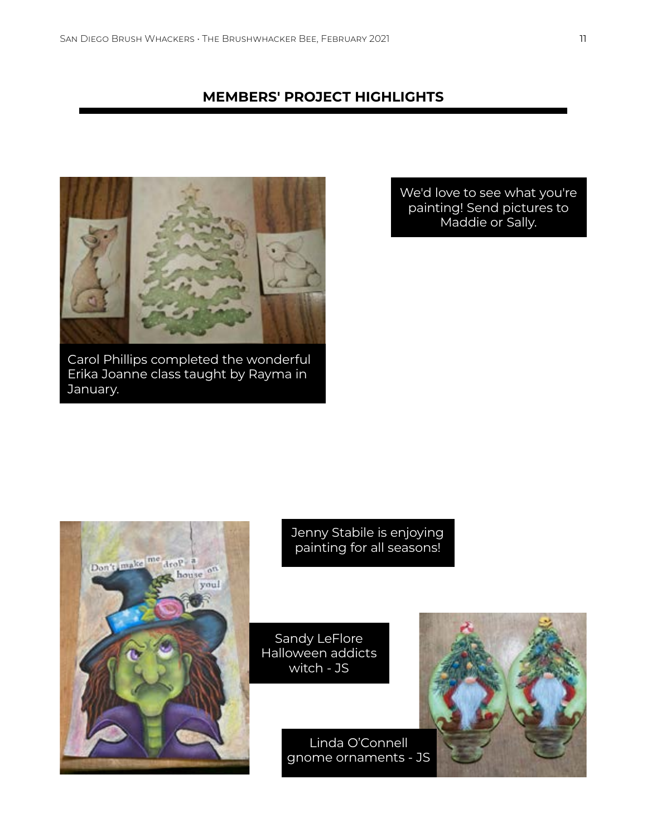#### **MEMBERS' PROJECT HIGHLIGHTS**



Carol Phillips completed the wonderful Erika Joanne class taught by Rayma in January.

We'd love to see what you're painting! Send pictures to Maddie or Sally.



Jenny Stabile is enjoying painting for all seasons!

Sandy LeFlore Halloween addicts witch - JS

> Linda O'Connell gnome ornaments - JS

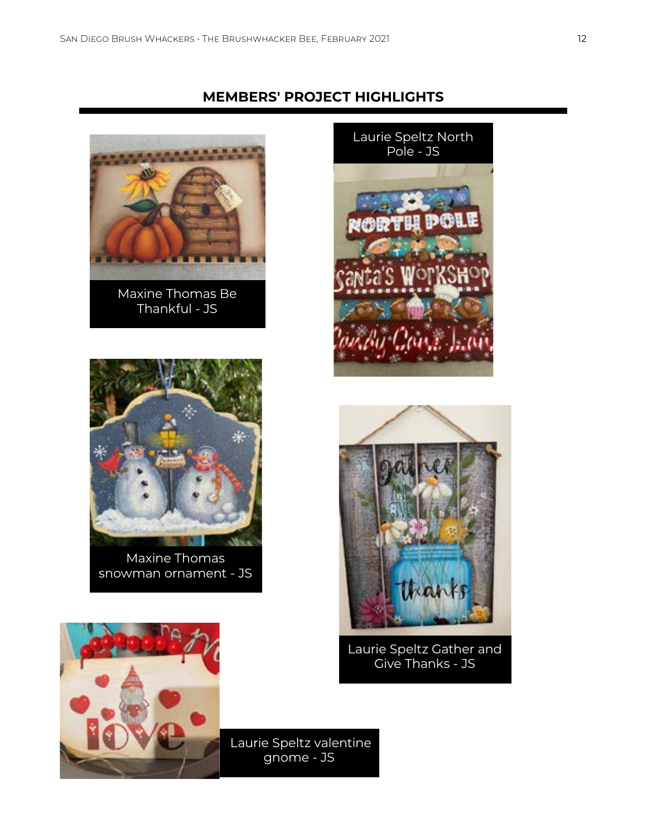**MEMBERS' PROJECT HIGHLIGHTS**



Maxine Thomas Be Thankful - JS



Maxine Thomas snowman ornament - JS





Laurie Speltz Gather and Give Thanks - JS



 Laurie Speltz valentine gnome - JS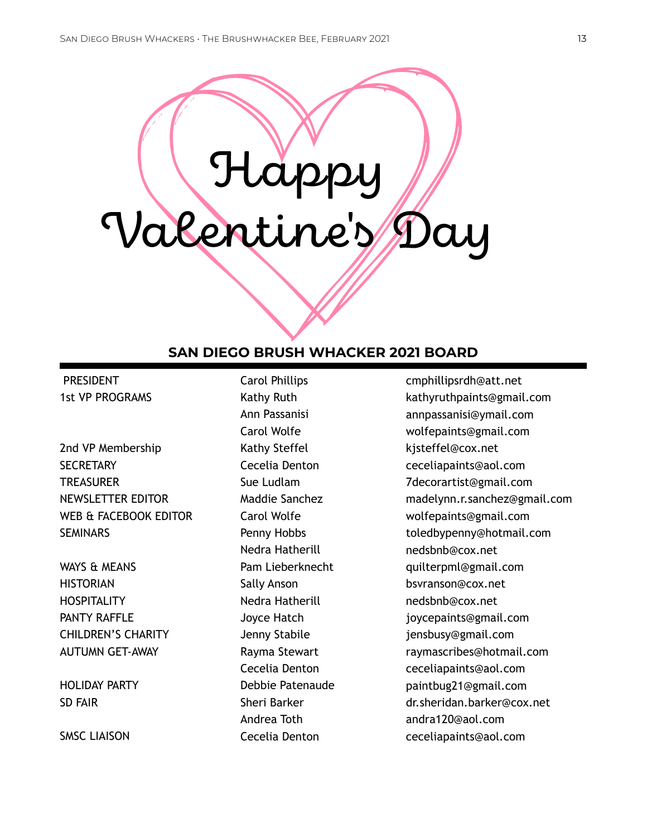# Happy Valentine's Day

#### **SAN DIEGO BRUSH WHACKER 2021 BOARD**

 PRESIDENT 1st VP PROGRAMS

2nd VP Membership **SECRETARY TREASURER** NEWSLETTER EDITOR WEB & FACEBOOK EDITOR **SEMINARS** 

WAYS & MEANS **HISTORIAN HOSPITALITY** PANTY RAFFLE CHILDREN'S CHARITY AUTUMN GET-AWAY

HOLIDAY PARTY SD FAIR

SMSC LIAISON

Carol Phillips Kathy Ruth Ann Passanisi Carol Wolfe Kathy Steffel Cecelia Denton Sue Ludlam Maddie Sanchez Carol Wolfe Penny Hobbs Nedra Hatherill Pam Lieberknecht Sally Anson Nedra Hatherill Joyce Hatch Jenny Stabile Rayma Stewart Cecelia Denton Debbie Patenaude Sheri Barker Andrea Toth Cecelia Denton

cmphillipsrdh@att.net kathyruthpaints@gmail.com annpassanisi@ymail.com wolfepaints@gmail.com kjsteffel@cox.net ceceliapaints@aol.com 7decorartist@gmail.com madelynn.r.sanchez@gmail.com wolfepaints@gmail.com toledbypenny@hotmail.com nedsbnb@cox.net quilterpml@gmail.com bsvranson@cox.net nedsbnb@cox.net joycepaints@gmail.com jensbusy@gmail.com raymascribes@hotmail.com ceceliapaints@aol.com paintbug21@gmail.com dr.sheridan.barker@cox.net andra120@aol.com ceceliapaints@aol.com